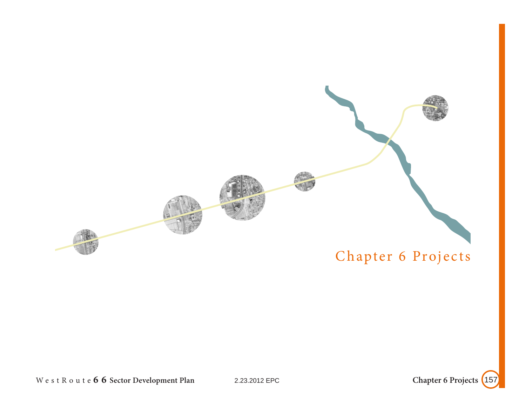

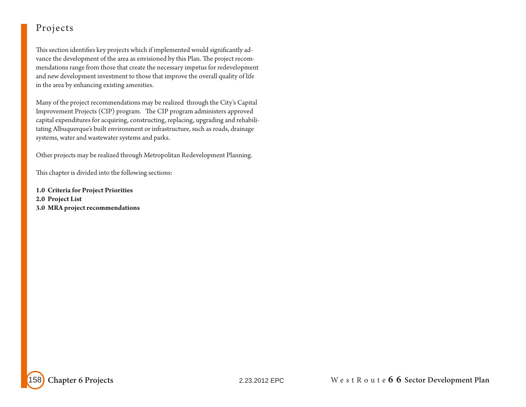This section identifies key projects which if implemented would significantly advance the development of the area as envisioned by this Plan. The project recommendations range from those that create the necessary impetus for redevelopment and new development investment to those that improve the overall quality of life in the area by enhancing existing amenities.

Many of the project recommendations may be realized through the City's Capital Improvement Projects (CIP) program. The CIP program administers approved capital expenditures for acquiring, constructing, replacing, upgrading and rehabilitating Albuquerque's built environment or infrastructure, such as roads, drainage systems, water and wastewater systems and parks.

Other projects may be realized through Metropolitan Redevelopment Planning.

This chapter is divided into the following sections:

**1.0 Criteria for Project Priorities 2.0 Project List 3.0 MRA project recommendations**

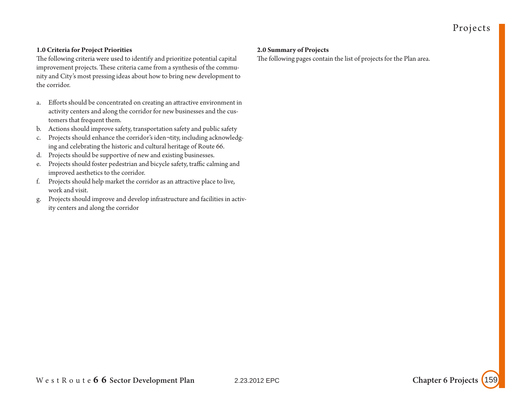### **1.0 Criteria for Project Priorities**

The following criteria were used to identify and prioritize potential capital improvement projects. These criteria came from a synthesis of the community and City's most pressing ideas about how to bring new development to the corridor.

- a. Efforts should be concentrated on creating an attractive environment in activity centers and along the corridor for new businesses and the customers that frequent them.
- b. Actions should improve safety, transportation safety and public safety
- c. Projects should enhance the corridor's iden¬tity, including acknowledging and celebrating the historic and cultural heritage of Route 66.
- d. Projects should be supportive of new and existing businesses.
- e. Projects should foster pedestrian and bicycle safety, traffic calming and improved aesthetics to the corridor.
- f. Projects should help market the corridor as an attractive place to live, work and visit.
- g. Projects should improve and develop infrastructure and facilities in activity centers and along the corridor

#### **2.0 Summary of Projects**

The following pages contain the list of projects for the Plan area.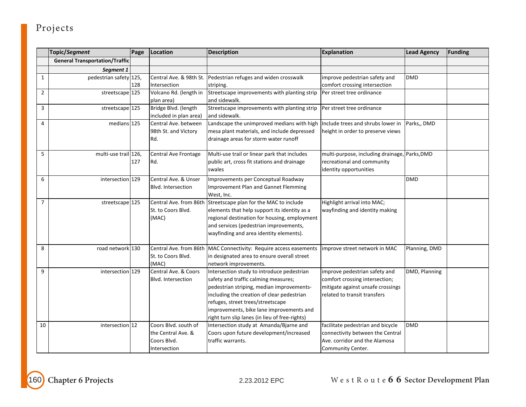|                | Topic/Segment                         | Page | Location                    | <b>Description</b>                                                                | <b>Explanation</b>                            | <b>Lead Agency</b> | <b>Funding</b> |
|----------------|---------------------------------------|------|-----------------------------|-----------------------------------------------------------------------------------|-----------------------------------------------|--------------------|----------------|
|                | <b>General Transportation/Traffic</b> |      |                             |                                                                                   |                                               |                    |                |
|                | Segment 1                             |      |                             |                                                                                   |                                               |                    |                |
| 1              | pedestrian safety 125,                |      | Central Ave. & 98th St.     | Pedestrian refuges and widen crosswalk                                            | improve pedestrian safety and                 | <b>DMD</b>         |                |
|                |                                       | 128  | Intersection                | striping.                                                                         | comfort crossing intersection                 |                    |                |
| $\overline{2}$ | streetscape <sup>125</sup>            |      | Volcano Rd. (length in      | Streetscape improvements with planting strip                                      | Per street tree ordinance                     |                    |                |
|                |                                       |      | plan area)                  | and sidewalk.                                                                     |                                               |                    |                |
| 3              | streetscape 125                       |      | Bridge Blvd. (length        | Streetscape improvements with planting strip                                      | Per street tree ordinance                     |                    |                |
|                |                                       |      | included in plan area)      | and sidewalk.                                                                     |                                               |                    |                |
| $\overline{4}$ | medians 125                           |      | Central Ave. between        | Landscape the unimproved medians with high                                        | Include trees and shrubs lower in             | Parks,, DMD        |                |
|                |                                       |      | 98th St. and Victory        | mesa plant materials, and include depressed                                       | height in order to preserve views             |                    |                |
|                |                                       |      | Rd.                         | drainage areas for storm water runoff                                             |                                               |                    |                |
| 5              | multi-use trail 126,                  |      |                             | Multi-use trail or linear park that includes                                      |                                               |                    |                |
|                |                                       |      | Central Ave Frontage<br>Rd. |                                                                                   | multi-purpose, including drainage, Parks, DMD |                    |                |
|                |                                       | 127  |                             | public art, cross fit stations and drainage<br>swales                             | recreational and community                    |                    |                |
|                |                                       |      |                             |                                                                                   | identity opportunities                        |                    |                |
| 6              | intersection 129                      |      | Central Ave. & Unser        | Improvements per Conceptual Roadway                                               |                                               | <b>DMD</b>         |                |
|                |                                       |      | Blvd. Intersection          | Improvement Plan and Gannet Flemming                                              |                                               |                    |                |
|                |                                       |      |                             | West, Inc.                                                                        |                                               |                    |                |
| $\overline{7}$ | streetscape 125                       |      |                             | Central Ave. from 86th Streetscape plan for the MAC to include                    | Highlight arrival into MAC;                   |                    |                |
|                |                                       |      | St. to Coors Blvd.          | elements that help support its identity as a                                      | wayfinding and identity making                |                    |                |
|                |                                       |      | (MAC)                       | regional destination for housing, employment                                      |                                               |                    |                |
|                |                                       |      |                             | and services (pedestrian improvements,<br>wayfinding and area identity elements). |                                               |                    |                |
|                |                                       |      |                             |                                                                                   |                                               |                    |                |
| 8              | road network 130                      |      |                             | Central Ave. from 86th MAC Connectivity: Require access easements                 | improve street network in MAC                 | Planning, DMD      |                |
|                |                                       |      | St. to Coors Blvd.          | in designated area to ensure overall street                                       |                                               |                    |                |
|                |                                       |      | (MAC)                       | network improvements.                                                             |                                               |                    |                |
| 9              | intersection 129                      |      | Central Ave. & Coors        | Intersection study to introduce pedestrian                                        | improve pedestrian safety and                 | DMD, Planning      |                |
|                |                                       |      | Blvd. Intersection          | safety and traffic calming measures;                                              | comfort crossing intersection;                |                    |                |
|                |                                       |      |                             | pedestrian striping, median improvements-                                         | mitigate against unsafe crossings             |                    |                |
|                |                                       |      |                             | including the creation of clear pedestrian                                        | related to transit transfers                  |                    |                |
|                |                                       |      |                             | refuges, street trees/streetscape                                                 |                                               |                    |                |
|                |                                       |      |                             | improvements, bike lane improvements and                                          |                                               |                    |                |
|                |                                       |      |                             | right turn slip lanes (in lieu of free-rights)                                    |                                               |                    |                |
| 10             | intersection 12                       |      | Coors Blvd. south of        | Intersection study at Amanda/Bjarne and                                           | facilitate pedestrian and bicycle             | <b>DMD</b>         |                |
|                |                                       |      | the Central Ave. &          | Coors upon future development/increased                                           | connectivity between the Central              |                    |                |
|                |                                       |      | Coors Blvd.                 | traffic warrants.                                                                 | Ave. corridor and the Alamosa                 |                    |                |
|                |                                       |      | Intersection                |                                                                                   | Community Center.                             |                    |                |

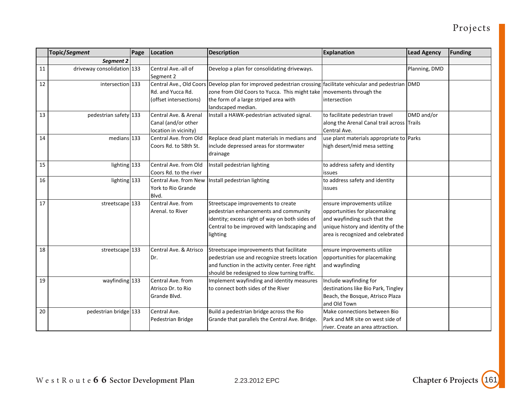|    | Topic/Segment              | Page | Location               | <b>Description</b>                                                                                            | <b>Explanation</b>                         | <b>Lead Agency</b> | <b>Funding</b> |
|----|----------------------------|------|------------------------|---------------------------------------------------------------------------------------------------------------|--------------------------------------------|--------------------|----------------|
|    | Segment 2                  |      |                        |                                                                                                               |                                            |                    |                |
| 11 | driveway consolidation 133 |      | Central Ave.-all of    | Develop a plan for consolidating driveways.                                                                   |                                            | Planning, DMD      |                |
|    |                            |      | Segment 2              |                                                                                                               |                                            |                    |                |
| 12 | intersection 133           |      |                        | Central Ave., Old Coors Develop plan for improved pedestrian crossing facilitate vehicular and pedestrian DMD |                                            |                    |                |
|    |                            |      | Rd. and Yucca Rd.      | zone from Old Coors to Yucca. This might take   movements through the                                         |                                            |                    |                |
|    |                            |      | (offset intersections) | the form of a large striped area with                                                                         | intersection                               |                    |                |
|    |                            |      |                        | landscaped median.                                                                                            |                                            |                    |                |
| 13 | pedestrian safety 133      |      | Central Ave. & Arenal  | Install a HAWK-pedestrian activated signal.                                                                   | to facilitate pedestrian travel            | DMD and/or         |                |
|    |                            |      | Canal (and/or other    |                                                                                                               | along the Arenal Canal trail across Trails |                    |                |
|    |                            |      | location in vicinity)  |                                                                                                               | Central Ave.                               |                    |                |
| 14 | medians 133                |      | Central Ave. from Old  | Replace dead plant materials in medians and                                                                   | use plant materials appropriate to Parks   |                    |                |
|    |                            |      | Coors Rd. to 58th St.  | include depressed areas for stormwater                                                                        | high desert/mid mesa setting               |                    |                |
|    |                            |      |                        | drainage                                                                                                      |                                            |                    |                |
| 15 | lighting 133               |      | Central Ave. from Old  | Install pedestrian lighting                                                                                   | to address safety and identity             |                    |                |
|    |                            |      | Coors Rd. to the river |                                                                                                               | issues                                     |                    |                |
| 16 | lighting 133               |      |                        | Central Ave. from New   Install pedestrian lighting                                                           | to address safety and identity             |                    |                |
|    |                            |      | York to Rio Grande     |                                                                                                               | issues                                     |                    |                |
|    |                            |      | Blvd.                  |                                                                                                               |                                            |                    |                |
| 17 | streetscape 133            |      | Central Ave. from      | Streetscape improvements to create                                                                            | ensure improvements utilize                |                    |                |
|    |                            |      | Arenal, to River       | pedestrian enhancements and community                                                                         | opportunities for placemaking              |                    |                |
|    |                            |      |                        | identity; excess right of way on both sides of                                                                | and wayfinding such that the               |                    |                |
|    |                            |      |                        | Central to be improved with landscaping and                                                                   | unique history and identity of the         |                    |                |
|    |                            |      |                        | lighting                                                                                                      | area is recognized and celebrated          |                    |                |
| 18 | streetscape 133            |      | Central Ave. & Atrisco | Streetscape improvements that facilitate                                                                      | ensure improvements utilize                |                    |                |
|    |                            |      | Dr.                    | pedestrian use and recognize streets location                                                                 | opportunities for placemaking              |                    |                |
|    |                            |      |                        | and function in the activity center. Free right                                                               | and wayfinding                             |                    |                |
|    |                            |      |                        | should be redesigned to slow turning traffic.                                                                 |                                            |                    |                |
| 19 | wayfinding 133             |      | Central Ave. from      | Implement wayfinding and identity measures                                                                    | Include wayfinding for                     |                    |                |
|    |                            |      | Atrisco Dr. to Rio     | to connect both sides of the River                                                                            | destinations like Bio Park, Tingley        |                    |                |
|    |                            |      | Grande Blvd.           |                                                                                                               | Beach, the Bosque, Atrisco Plaza           |                    |                |
|    |                            |      |                        |                                                                                                               | and Old Town                               |                    |                |
| 20 | pedestrian bridge 133      |      | Central Ave.           | Build a pedestrian bridge across the Rio                                                                      | Make connections between Bio               |                    |                |
|    |                            |      | Pedestrian Bridge      | Grande that parallels the Central Ave. Bridge.                                                                | Park and MR site on west side of           |                    |                |
|    |                            |      |                        |                                                                                                               | river. Create an area attraction.          |                    |                |

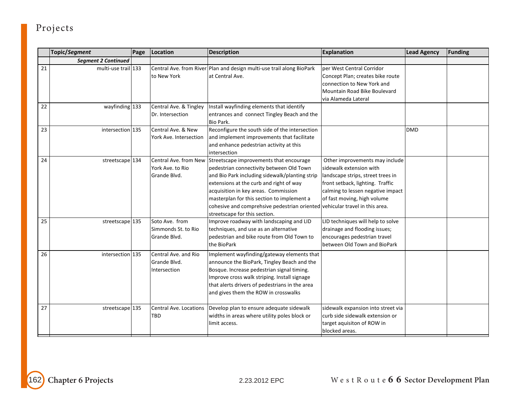|                 | Topic/Segment              | Page | Location                                                  | <b>Description</b>                                                                                                                                                                                                                                                                                                                                                                     | <b>Explanation</b>                                                                                                                                                                                     | <b>Lead Agency</b> | <b>Funding</b> |
|-----------------|----------------------------|------|-----------------------------------------------------------|----------------------------------------------------------------------------------------------------------------------------------------------------------------------------------------------------------------------------------------------------------------------------------------------------------------------------------------------------------------------------------------|--------------------------------------------------------------------------------------------------------------------------------------------------------------------------------------------------------|--------------------|----------------|
|                 | <b>Segment 2 Continued</b> |      |                                                           |                                                                                                                                                                                                                                                                                                                                                                                        |                                                                                                                                                                                                        |                    |                |
| 21              | multi-use trail 133        |      | to New York                                               | Central Ave. from River Plan and design multi-use trail along BioPark<br>at Central Ave.                                                                                                                                                                                                                                                                                               | per West Central Corridor<br>Concept Plan; creates bike route<br>connection to New York and<br>Mountain Road Bike Boulevard                                                                            |                    |                |
| 22              | wayfinding 133             |      | Central Ave. & Tingley<br>Dr. Intersection                | Install wayfinding elements that identify<br>entrances and connect Tingley Beach and the<br>Bio Park.                                                                                                                                                                                                                                                                                  | via Alameda Lateral                                                                                                                                                                                    |                    |                |
| 23              | intersection 135           |      | Central Ave. & New<br>York Ave. Intersection              | Reconfigure the south side of the intersection<br>and implement improvements that facilitate<br>and enhance pedestrian activity at this<br>intersection                                                                                                                                                                                                                                |                                                                                                                                                                                                        | <b>DMD</b>         |                |
| 24              | streetscape 134            |      | Central Ave. from New<br>York Ave. to Rio<br>Grande Blvd. | Streetscape improvements that encourage<br>pedestrian connectivity between Old Town<br>and Bio Park including sidewalk/planting strip<br>extensions at the curb and right of way<br>acquisition in key areas. Commission<br>masterplan for this section to implement a<br>cohesive and comprehsive pedestrian oriented vehicular travel in this area.<br>streetscape for this section. | Other improvements may include<br>sidewalk extension with<br>landscape strips, street trees in<br>front setback, lighting. Traffic<br>calming to lessen negative impact<br>of fast moving, high volume |                    |                |
| 25              | streetscape 135            |      | Soto Ave. from<br>Simmonds St. to Rio<br>Grande Blvd.     | Improve roadway with landscaping and LID<br>techniques, and use as an alternative<br>pedestrian and bike route from Old Town to<br>the BioPark                                                                                                                                                                                                                                         | LID techniques will help to solve<br>drainage and flooding issues;<br>encourages pedestrian travel<br>between Old Town and BioPark                                                                     |                    |                |
| 26              | intersection 135           |      | Central Ave. and Rio<br>Grande Blvd.<br>Intersection      | Implement wayfinding/gateway elements that<br>announce the BioPark, Tingley Beach and the<br>Bosque. Increase pedestrian signal timing.<br>Improve cross walk striping. Install signage<br>that alerts drivers of pedestrians in the area<br>and gives them the ROW in crosswalks                                                                                                      |                                                                                                                                                                                                        |                    |                |
| $\overline{27}$ | streetscape 135            |      | Central Ave. Locations<br><b>TBD</b>                      | Develop plan to ensure adequate sidewalk<br>widths in areas where utility poles block or<br>limit access.                                                                                                                                                                                                                                                                              | sidewalk expansion into street via<br>curb side sidewalk extension or<br>target aquisiton of ROW in<br>blocked areas.                                                                                  |                    |                |

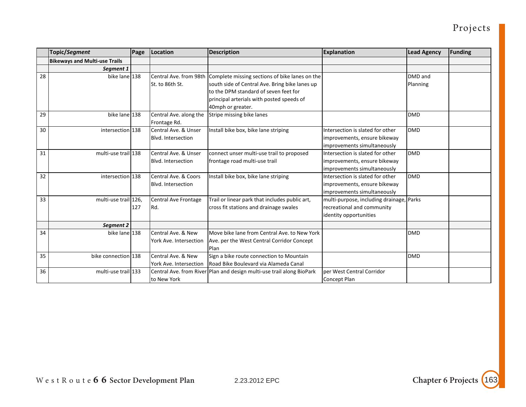|    | <b>Topic/Segment</b>                 | Page | Location                                          | <b>Description</b>                                                                                                                                                                                          | <b>Explanation</b>                                                                               | <b>Lead Agency</b>  | <b>Funding</b> |
|----|--------------------------------------|------|---------------------------------------------------|-------------------------------------------------------------------------------------------------------------------------------------------------------------------------------------------------------------|--------------------------------------------------------------------------------------------------|---------------------|----------------|
|    | <b>Bikeways and Multi-use Trails</b> |      |                                                   |                                                                                                                                                                                                             |                                                                                                  |                     |                |
|    | Segment 1                            |      |                                                   |                                                                                                                                                                                                             |                                                                                                  |                     |                |
| 28 | bike lane 138                        |      | Central Ave. from 98th<br>St. to 86th St.         | Complete missing sections of bike lanes on the<br>south side of Central Ave. Bring bike lanes up<br>to the DPM standard of seven feet for<br>principal arterials with posted speeds of<br>40mph or greater. |                                                                                                  | DMD and<br>Planning |                |
| 29 | bike lane 138                        |      | Central Ave. along the<br>Frontage Rd.            | Stripe missing bike lanes                                                                                                                                                                                   |                                                                                                  | <b>DMD</b>          |                |
| 30 | intersection 138                     |      | Central Ave. & Unser<br>Blvd. Intersection        | Install bike box, bike lane striping                                                                                                                                                                        | Intersection is slated for other<br>improvements, ensure bikeway<br>improvements simultaneously  | <b>DMD</b>          |                |
| 31 | multi-use trail 138                  |      | Central Ave. & Unser<br><b>Blvd. Intersection</b> | connect unser multi-use trail to proposed<br>frontage road multi-use trail                                                                                                                                  | Intersection is slated for other<br>improvements, ensure bikeway<br>improvements simultaneously  | <b>DMD</b>          |                |
| 32 | intersection 138                     |      | Central Ave. & Coors<br><b>Blvd. Intersection</b> | Install bike box, bike lane striping                                                                                                                                                                        | Intersection is slated for other<br>improvements, ensure bikeway<br>improvements simultaneously  | <b>DMD</b>          |                |
| 33 | multi-use trail 126,                 | 127  | Central Ave Frontage<br>IRd.                      | Trail or linear park that includes public art,<br>cross fit stations and drainage swales                                                                                                                    | multi-purpose, including drainage, Parks<br>recreational and community<br>identity opportunities |                     |                |
|    | Segment 2                            |      |                                                   |                                                                                                                                                                                                             |                                                                                                  |                     |                |
| 34 | bike lane 138                        |      | Central Ave. & New<br>York Ave. Intersection      | Move bike lane from Central Ave, to New York<br>Ave. per the West Central Corridor Concept<br>Plan                                                                                                          |                                                                                                  | <b>DMD</b>          |                |
| 35 | bike connection 138                  |      | Central Ave. & New<br>York Ave. Intersection      | Sign a bike route connection to Mountain<br>Road Bike Boulevard via Alameda Canal                                                                                                                           |                                                                                                  | <b>DMD</b>          |                |
| 36 | multi-use trail 133                  |      | to New York                                       | Central Ave. from River Plan and design multi-use trail along BioPark                                                                                                                                       | per West Central Corridor<br>Concept Plan                                                        |                     |                |

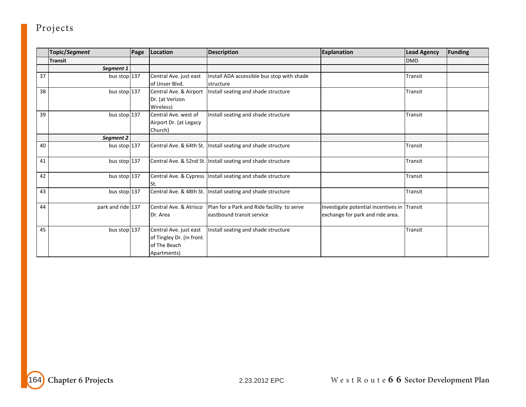|    | Topic/Segment     | Page | Location                 | <b>Description</b>                                           | <b>Explanation</b>                          | <b>Lead Agency</b> | <b>Funding</b> |
|----|-------------------|------|--------------------------|--------------------------------------------------------------|---------------------------------------------|--------------------|----------------|
|    | <b>Transit</b>    |      |                          |                                                              |                                             | <b>DMD</b>         |                |
|    | Segment 1         |      |                          |                                                              |                                             |                    |                |
| 37 | bus stop 137      |      | Central Ave. just east   | Install ADA accessible bus stop with shade                   |                                             | Transit            |                |
|    |                   |      | of Unser Blvd.           | structure                                                    |                                             |                    |                |
| 38 | bus stop 137      |      | Central Ave. & Airport   | Install seating and shade structure                          |                                             | Transit            |                |
|    |                   |      | Dr. (at Verizon          |                                                              |                                             |                    |                |
|    |                   |      | Wireless)                |                                                              |                                             |                    |                |
| 39 | bus stop 137      |      | Central Ave. west of     | Install seating and shade structure                          |                                             | Transit            |                |
|    |                   |      | Airport Dr. (at Legacy   |                                                              |                                             |                    |                |
|    |                   |      | Church)                  |                                                              |                                             |                    |                |
|    | Segment 2         |      |                          |                                                              |                                             |                    |                |
| 40 | bus stop $137$    |      |                          | Central Ave. & 64th St. Install seating and shade structure  |                                             | Transit            |                |
|    |                   |      |                          |                                                              |                                             |                    |                |
| 41 | bus stop 137      |      |                          | Central Ave. & 52nd St. Install seating and shade structure  |                                             | Transit            |                |
|    |                   |      |                          |                                                              |                                             |                    |                |
| 42 | bus stop 137      |      |                          | Central Ave. & Cypress   Install seating and shade structure |                                             | Transit            |                |
|    |                   |      | St.                      |                                                              |                                             |                    |                |
| 43 | bus stop $137$    |      |                          | Central Ave. & 48th St. Install seating and shade structure  |                                             | Transit            |                |
|    |                   |      |                          |                                                              |                                             |                    |                |
| 44 | park and ride 137 |      | Central Ave. & Atrisco   | Plan for a Park and Ride facility to serve                   | Investigate potential incentives in Transit |                    |                |
|    |                   |      | Dr. Area                 | leastbound transit service                                   | exchange for park and ride area.            |                    |                |
|    |                   |      |                          |                                                              |                                             |                    |                |
| 45 | bus stop 137      |      | Central Ave. just east   | Install seating and shade structure                          |                                             | Transit            |                |
|    |                   |      | of Tingley Dr. (in front |                                                              |                                             |                    |                |
|    |                   |      | of The Beach             |                                                              |                                             |                    |                |
|    |                   |      | Apartments)              |                                                              |                                             |                    |                |

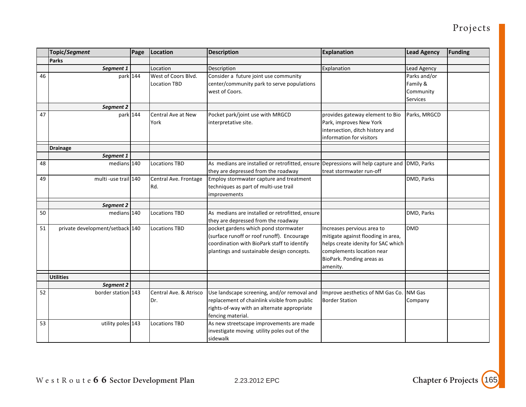|    | Topic/Segment                   | Page | Location                                   | <b>Description</b>                                                                                                                                                              | <b>Explanation</b>                                                                                                                                                           | <b>Lead Agency</b>                                | <b>Funding</b> |
|----|---------------------------------|------|--------------------------------------------|---------------------------------------------------------------------------------------------------------------------------------------------------------------------------------|------------------------------------------------------------------------------------------------------------------------------------------------------------------------------|---------------------------------------------------|----------------|
|    | Parks                           |      |                                            |                                                                                                                                                                                 |                                                                                                                                                                              |                                                   |                |
|    | Segment 1                       |      | Location                                   | Description                                                                                                                                                                     | Explanation                                                                                                                                                                  | Lead Agency                                       |                |
| 46 | park 144                        |      | West of Coors Blvd.<br><b>Location TBD</b> | Consider a future joint use community<br>center/community park to serve populations<br>west of Coors.                                                                           |                                                                                                                                                                              | Parks and/or<br>Family &<br>Community<br>Services |                |
|    | Segment 2                       |      |                                            |                                                                                                                                                                                 |                                                                                                                                                                              |                                                   |                |
| 47 | park 144                        |      | Central Ave at New<br>York                 | Pocket park/joint use with MRGCD<br>interpretative site.                                                                                                                        | provides gateway element to Bio<br>Park, improves New York<br>intersection, ditch history and<br>information for visitors                                                    | Parks, MRGCD                                      |                |
|    | <b>Drainage</b>                 |      |                                            |                                                                                                                                                                                 |                                                                                                                                                                              |                                                   |                |
|    | Segment 1                       |      |                                            |                                                                                                                                                                                 |                                                                                                                                                                              |                                                   |                |
| 48 | medians 140                     |      | <b>Locations TBD</b>                       | As medians are installed or retrofitted, ensure Depressions will help capture and<br>they are depressed from the roadway                                                        | treat stormwater run-off                                                                                                                                                     | DMD, Parks                                        |                |
| 49 | multi-use trail 140             |      | Central Ave. Frontage<br>Rd.               | Employ stormwater capture and treatment<br>techniques as part of multi-use trail<br><i>improvements</i>                                                                         |                                                                                                                                                                              | DMD, Parks                                        |                |
|    | Segment 2                       |      |                                            |                                                                                                                                                                                 |                                                                                                                                                                              |                                                   |                |
| 50 | medians 140                     |      | <b>Locations TBD</b>                       | As medians are installed or retrofitted, ensure<br>they are depressed from the roadway                                                                                          |                                                                                                                                                                              | DMD, Parks                                        |                |
| 51 | private development/setback 140 |      | <b>Locations TBD</b>                       | pocket gardens which pond stormwater<br>(surface runoff or roof runoff). Encourage<br>coordination with BioPark staff to identify<br>plantings and sustainable design concepts. | Increases pervious area to<br>mitigate against flooding in area,<br>helps create idenity for SAC which<br>complements location near<br>BioPark. Ponding areas as<br>amenity. | <b>DMD</b>                                        |                |
|    | <b>Utilities</b>                |      |                                            |                                                                                                                                                                                 |                                                                                                                                                                              |                                                   |                |
|    | Segment 2                       |      |                                            |                                                                                                                                                                                 |                                                                                                                                                                              |                                                   |                |
| 52 | border station 143              |      | Central Ave. & Atrisco<br>Dr.              | Use landscape screening, and/or removal and<br>replacement of chainlink visible from public<br>rights-of-way with an alternate appropriate<br>fencing material.                 | Improve aesthetics of NM Gas Co.<br><b>Border Station</b>                                                                                                                    | NM Gas<br>Company                                 |                |
| 53 | utility poles 143               |      | <b>Locations TBD</b>                       | As new streetscape improvements are made<br>investigate moving utility poles out of the<br>sidewalk                                                                             |                                                                                                                                                                              |                                                   |                |

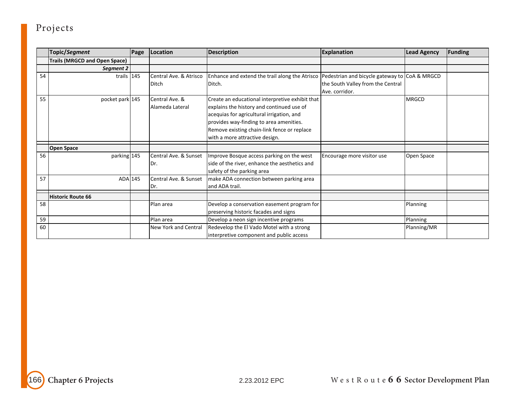|    | Topic/Segment                        | Page | Location                               | <b>Description</b>                                                                                                                                                                                                                                                    | <b>Explanation</b>                                                                                   | <b>Lead Agency</b> | <b>Funding</b> |
|----|--------------------------------------|------|----------------------------------------|-----------------------------------------------------------------------------------------------------------------------------------------------------------------------------------------------------------------------------------------------------------------------|------------------------------------------------------------------------------------------------------|--------------------|----------------|
|    | <b>Trails (MRGCD and Open Space)</b> |      |                                        |                                                                                                                                                                                                                                                                       |                                                                                                      |                    |                |
|    | Segment 2                            |      |                                        |                                                                                                                                                                                                                                                                       |                                                                                                      |                    |                |
| 54 | trails $145$                         |      | Central Ave. & Atrisco<br><b>Ditch</b> | Enhance and extend the trail along the Atrisco<br>Ditch.                                                                                                                                                                                                              | Pedestrian and bicycle gateway to CoA & MRGCD<br>the South Valley from the Central<br>Ave. corridor. |                    |                |
| 55 | pocket park 145                      |      | Central Ave. &<br>Alameda Lateral      | Create an educational interpretive exhibit that<br>explains the history and continued use of<br>acequias for agricultural irrigation, and<br>provides way-finding to area amenities.<br>Remove existing chain-link fence or replace<br>with a more attractive design. |                                                                                                      | <b>MRGCD</b>       |                |
|    | <b>Open Space</b>                    |      |                                        |                                                                                                                                                                                                                                                                       |                                                                                                      |                    |                |
| 56 | parking 145                          |      | Central Ave. & Sunset<br>Dr.           | Improve Bosque access parking on the west<br>side of the river, enhance the aesthetics and<br>safety of the parking area                                                                                                                                              | Encourage more visitor use                                                                           | Open Space         |                |
| 57 | ADA 145                              |      | Central Ave. & Sunset<br>Dr.           | make ADA connection between parking area<br>and ADA trail.                                                                                                                                                                                                            |                                                                                                      |                    |                |
|    | Historic Route 66                    |      |                                        |                                                                                                                                                                                                                                                                       |                                                                                                      |                    |                |
| 58 |                                      |      | Plan area                              | Develop a conservation easement program for<br>preserving historic facades and signs                                                                                                                                                                                  |                                                                                                      | Planning           |                |
| 59 |                                      |      | Plan area                              | Develop a neon sign incentive programs                                                                                                                                                                                                                                |                                                                                                      | Planning           |                |
| 60 |                                      |      | <b>New York and Central</b>            | Redevelop the El Vado Motel with a strong<br>interpretive component and public access                                                                                                                                                                                 |                                                                                                      | Planning/MR        |                |

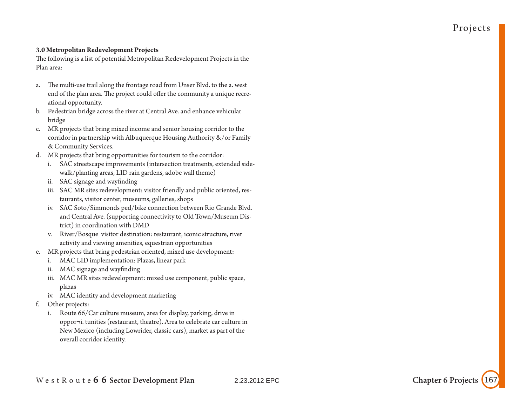#### **3.0 Metropolitan Redevelopment Projects**

The following is a list of potential Metropolitan Redevelopment Projects in the Plan area:

- a. The multi-use trail along the frontage road from Unser Blvd. to the a. west end of the plan area. The project could offer the community a unique recreational opportunity.
- b. Pedestrian bridge across the river at Central Ave. and enhance vehicular bridge
- c. MR projects that bring mixed income and senior housing corridor to the corridor in partnership with Albuquerque Housing Authority &/or Family & Community Services.
- d. MR projects that bring opportunities for tourism to the corridor:
	- i. SAC streetscape improvements (intersection treatments, extended sidewalk/planting areas, LID rain gardens, adobe wall theme)
	- ii. SAC signage and wayfinding
	- iii. SAC MR sites redevelopment: visitor friendly and public oriented, restaurants, visitor center, museums, galleries, shops
	- iv. SAC Soto/Simmonds ped/bike connection between Rio Grande Blvd. and Central Ave. (supporting connectivity to Old Town/Museum District) in coordination with DMD
	- v. River/Bosque visitor destination: restaurant, iconic structure, river activity and viewing amenities, equestrian opportunities
- e. MR projects that bring pedestrian oriented, mixed use development:
	- i. MAC LID implementation: Plazas, linear park
	- ii. MAC signage and wayfinding
	- iii. MAC MR sites redevelopment: mixed use component, public space, plazas
	- iv. MAC identity and development marketing
- f. Other projects:
	- i. Route 66/Car culture museum, area for display, parking, drive in oppor¬i. tunities (restaurant, theatre). Area to celebrate car culture in New Mexico (including Lowrider, classic cars), market as part of the overall corridor identity.